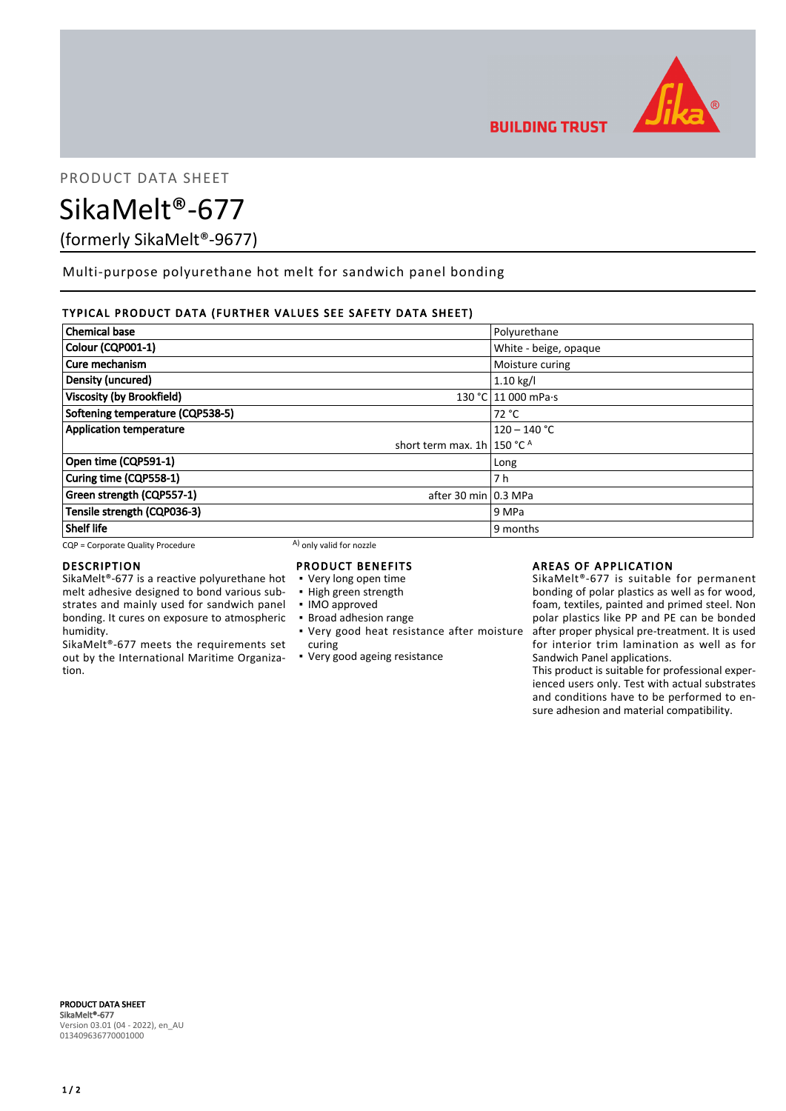

PRODUCT DATA SHEET

SikaMelt®-677

(formerly SikaMelt®-9677)

Multi-purpose polyurethane hot melt for sandwich panel bonding

# TYPICAL PRODUCT DATA (FURTHER VALUES SEE SAFETY DATA SHEET)

| <b>Chemical base</b>              |                                         | Polyurethane          |
|-----------------------------------|-----------------------------------------|-----------------------|
| Colour (CQP001-1)                 |                                         | White - beige, opaque |
| Cure mechanism                    |                                         | Moisture curing       |
| Density (uncured)                 |                                         | $1.10$ kg/l           |
| <b>Viscosity (by Brookfield)</b>  |                                         | 130 °C 11 000 mPa.s   |
| Softening temperature (CQP538-5)  |                                         | 72 °C                 |
| <b>Application temperature</b>    |                                         | $120 - 140 °C$        |
|                                   | short term max. 1h   150 $^{\circ}$ C A |                       |
| Open time (CQP591-1)              |                                         | Long                  |
| Curing time (CQP558-1)            |                                         | 7 h                   |
| Green strength (CQP557-1)         | after 30 min 0.3 MPa                    |                       |
| Tensile strength (CQP036-3)       |                                         | 9 MPa                 |
| <b>Shelf life</b>                 |                                         | 9 months              |
| CQP = Corporate Quality Procedure | A) only valid for nozzle                |                       |

## DESCRIPTION

SikaMelt®-677 is a reactive polyurethane hot melt adhesive designed to bond various substrates and mainly used for sandwich panel bonding. It cures on exposure to atmospheric humidity.

SikaMelt®-677 meets the requirements set out by the International Maritime Organization.

## PRODUCT BENEFITS

- Very long open time
- High green strength
- IMO approved
- Broad adhesion range
- Very good heat resistance after moisture curing
- Very good ageing resistance

## AREAS OF APPLICATION

SikaMelt®-677 is suitable for permanent bonding of polar plastics as well as for wood, foam, textiles, painted and primed steel. Non polar plastics like PP and PE can be bonded after proper physical pre-treatment. It is used for interior trim lamination as well as for Sandwich Panel applications.

This product is suitable for professional experienced users only. Test with actual substrates and conditions have to be performed to ensure adhesion and material compatibility.